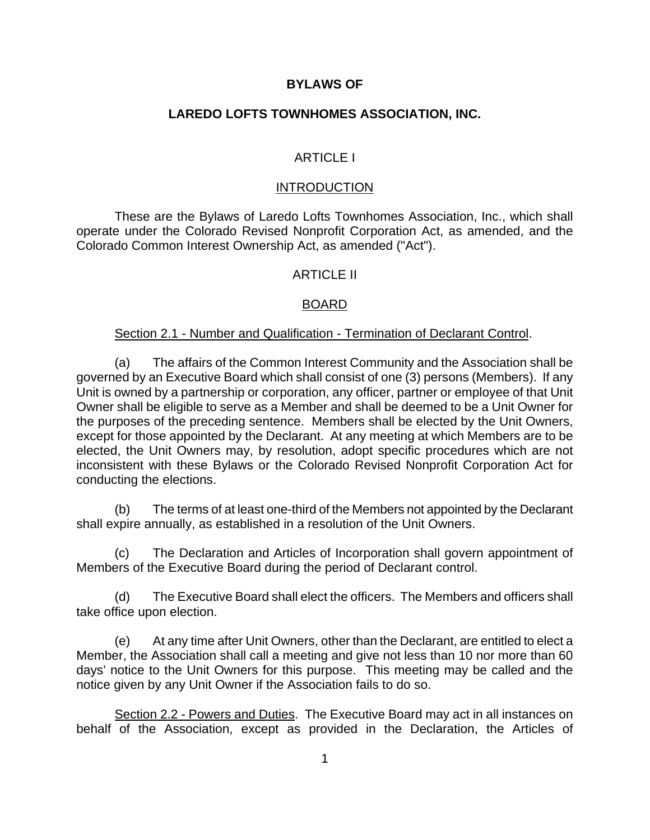## **BYLAWS OF**

## **LAREDO LOFTS TOWNHOMES ASSOCIATION, INC.**

## ARTICLE I

#### **INTRODUCTION**

These are the Bylaws of Laredo Lofts Townhomes Association, Inc., which shall operate under the Colorado Revised Nonprofit Corporation Act, as amended, and the Colorado Common Interest Ownership Act, as amended ("Act").

#### **ARTICLE II**

### BOARD

#### Section 2.1 - Number and Qualification - Termination of Declarant Control.

(a) The affairs of the Common Interest Community and the Association shall be governed by an Executive Board which shall consist of one (3) persons (Members). If any Unit is owned by a partnership or corporation, any officer, partner or employee of that Unit Owner shall be eligible to serve as a Member and shall be deemed to be a Unit Owner for the purposes of the preceding sentence. Members shall be elected by the Unit Owners, except for those appointed by the Declarant. At any meeting at which Members are to be elected, the Unit Owners may, by resolution, adopt specific procedures which are not inconsistent with these Bylaws or the Colorado Revised Nonprofit Corporation Act for conducting the elections.

(b) The terms of at least one-third of the Members not appointed by the Declarant shall expire annually, as established in a resolution of the Unit Owners.

(c) The Declaration and Articles of Incorporation shall govern appointment of Members of the Executive Board during the period of Declarant control.

(d) The Executive Board shall elect the officers. The Members and officers shall take office upon election.

(e) At any time after Unit Owners, other than the Declarant, are entitled to elect a Member, the Association shall call a meeting and give not less than 10 nor more than 60 days' notice to the Unit Owners for this purpose. This meeting may be called and the notice given by any Unit Owner if the Association fails to do so.

Section 2.2 - Powers and Duties. The Executive Board may act in all instances on behalf of the Association, except as provided in the Declaration, the Articles of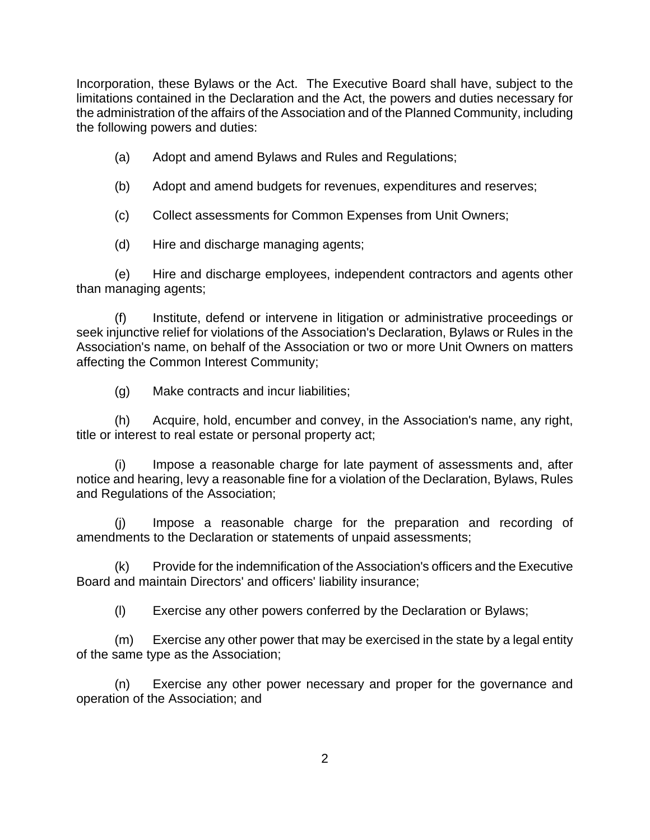Incorporation, these Bylaws or the Act. The Executive Board shall have, subject to the limitations contained in the Declaration and the Act, the powers and duties necessary for the administration of the affairs of the Association and of the Planned Community, including the following powers and duties:

- (a) Adopt and amend Bylaws and Rules and Regulations;
- (b) Adopt and amend budgets for revenues, expenditures and reserves;
- (c) Collect assessments for Common Expenses from Unit Owners;

(d) Hire and discharge managing agents;

(e) Hire and discharge employees, independent contractors and agents other than managing agents;

(f) Institute, defend or intervene in litigation or administrative proceedings or seek injunctive relief for violations of the Association's Declaration, Bylaws or Rules in the Association's name, on behalf of the Association or two or more Unit Owners on matters affecting the Common Interest Community;

(g) Make contracts and incur liabilities;

(h) Acquire, hold, encumber and convey, in the Association's name, any right, title or interest to real estate or personal property act;

Impose a reasonable charge for late payment of assessments and, after notice and hearing, levy a reasonable fine for a violation of the Declaration, Bylaws, Rules and Regulations of the Association;

(j) Impose a reasonable charge for the preparation and recording of amendments to the Declaration or statements of unpaid assessments;

(k) Provide for the indemnification of the Association's officers and the Executive Board and maintain Directors' and officers' liability insurance;

(l) Exercise any other powers conferred by the Declaration or Bylaws;

(m) Exercise any other power that may be exercised in the state by a legal entity of the same type as the Association;

(n) Exercise any other power necessary and proper for the governance and operation of the Association; and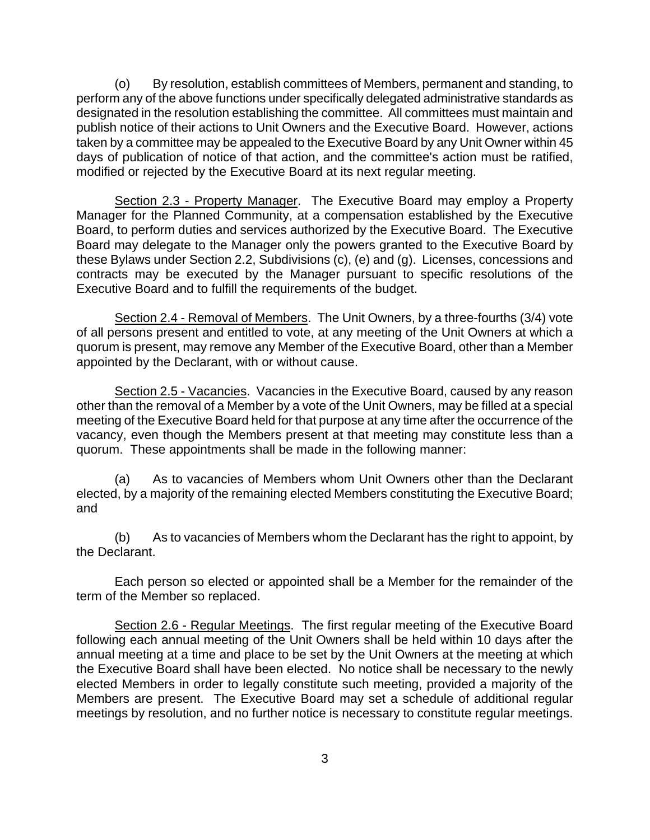(o) By resolution, establish committees of Members, permanent and standing, to perform any of the above functions under specifically delegated administrative standards as designated in the resolution establishing the committee. All committees must maintain and publish notice of their actions to Unit Owners and the Executive Board. However, actions taken by a committee may be appealed to the Executive Board by any Unit Owner within 45 days of publication of notice of that action, and the committee's action must be ratified, modified or rejected by the Executive Board at its next regular meeting.

Section 2.3 - Property Manager. The Executive Board may employ a Property Manager for the Planned Community, at a compensation established by the Executive Board, to perform duties and services authorized by the Executive Board. The Executive Board may delegate to the Manager only the powers granted to the Executive Board by these Bylaws under Section 2.2, Subdivisions (c), (e) and (g). Licenses, concessions and contracts may be executed by the Manager pursuant to specific resolutions of the Executive Board and to fulfill the requirements of the budget.

Section 2.4 - Removal of Members. The Unit Owners, by a three-fourths (3/4) vote of all persons present and entitled to vote, at any meeting of the Unit Owners at which a quorum is present, may remove any Member of the Executive Board, other than a Member appointed by the Declarant, with or without cause.

Section 2.5 - Vacancies. Vacancies in the Executive Board, caused by any reason other than the removal of a Member by a vote of the Unit Owners, may be filled at a special meeting of the Executive Board held for that purpose at any time after the occurrence of the vacancy, even though the Members present at that meeting may constitute less than a quorum. These appointments shall be made in the following manner:

(a) As to vacancies of Members whom Unit Owners other than the Declarant elected, by a majority of the remaining elected Members constituting the Executive Board; and

(b) As to vacancies of Members whom the Declarant has the right to appoint, by the Declarant.

Each person so elected or appointed shall be a Member for the remainder of the term of the Member so replaced.

Section 2.6 - Regular Meetings. The first regular meeting of the Executive Board following each annual meeting of the Unit Owners shall be held within 10 days after the annual meeting at a time and place to be set by the Unit Owners at the meeting at which the Executive Board shall have been elected. No notice shall be necessary to the newly elected Members in order to legally constitute such meeting, provided a majority of the Members are present. The Executive Board may set a schedule of additional regular meetings by resolution, and no further notice is necessary to constitute regular meetings.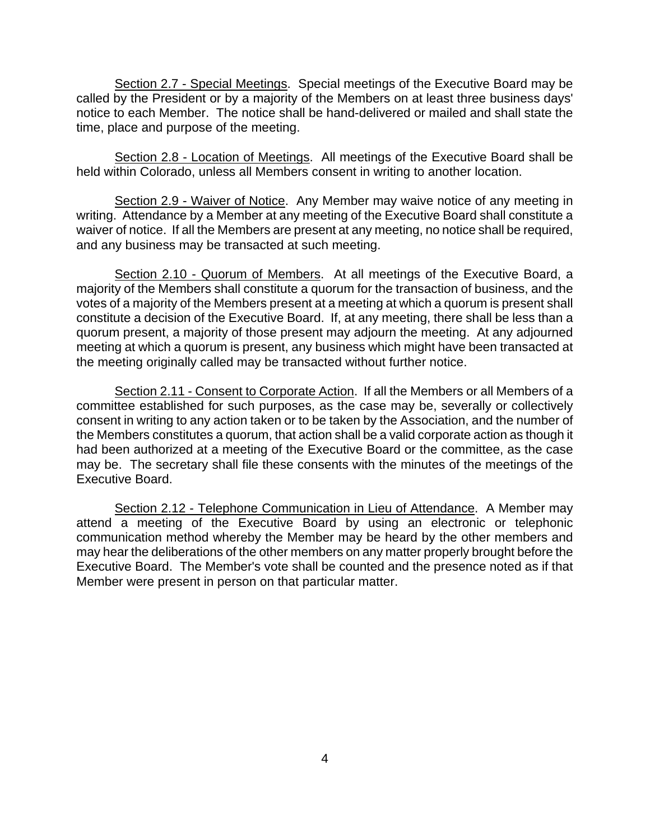Section 2.7 - Special Meetings. Special meetings of the Executive Board may be called by the President or by a majority of the Members on at least three business days' notice to each Member. The notice shall be hand-delivered or mailed and shall state the time, place and purpose of the meeting.

Section 2.8 - Location of Meetings. All meetings of the Executive Board shall be held within Colorado, unless all Members consent in writing to another location.

Section 2.9 - Waiver of Notice. Any Member may waive notice of any meeting in writing. Attendance by a Member at any meeting of the Executive Board shall constitute a waiver of notice. If all the Members are present at any meeting, no notice shall be required, and any business may be transacted at such meeting.

Section 2.10 - Quorum of Members. At all meetings of the Executive Board, a majority of the Members shall constitute a quorum for the transaction of business, and the votes of a majority of the Members present at a meeting at which a quorum is present shall constitute a decision of the Executive Board. If, at any meeting, there shall be less than a quorum present, a majority of those present may adjourn the meeting. At any adjourned meeting at which a quorum is present, any business which might have been transacted at the meeting originally called may be transacted without further notice.

Section 2.11 - Consent to Corporate Action. If all the Members or all Members of a committee established for such purposes, as the case may be, severally or collectively consent in writing to any action taken or to be taken by the Association, and the number of the Members constitutes a quorum, that action shall be a valid corporate action as though it had been authorized at a meeting of the Executive Board or the committee, as the case may be. The secretary shall file these consents with the minutes of the meetings of the Executive Board.

Section 2.12 - Telephone Communication in Lieu of Attendance. A Member may attend a meeting of the Executive Board by using an electronic or telephonic communication method whereby the Member may be heard by the other members and may hear the deliberations of the other members on any matter properly brought before the Executive Board. The Member's vote shall be counted and the presence noted as if that Member were present in person on that particular matter.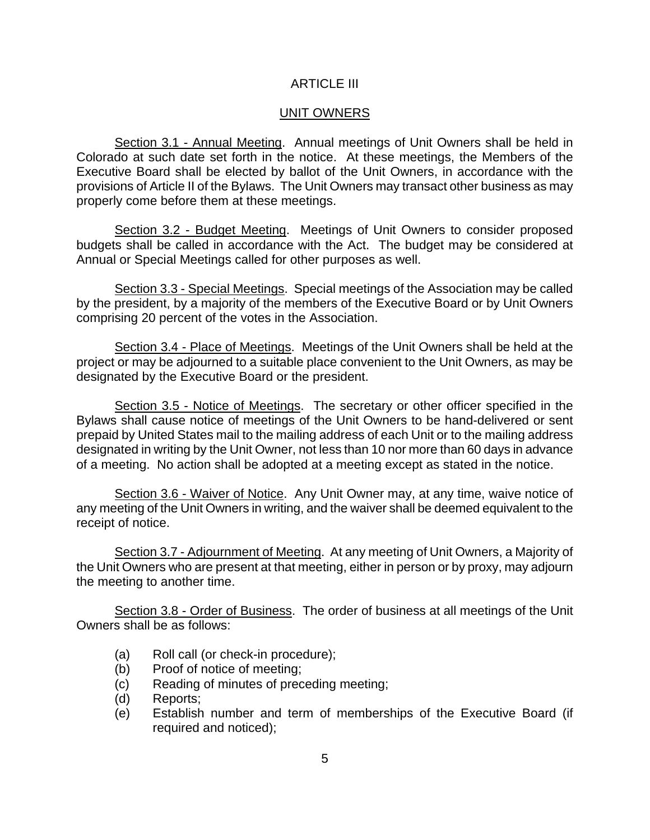## ARTICLE III

## UNIT OWNERS

Section 3.1 - Annual Meeting. Annual meetings of Unit Owners shall be held in Colorado at such date set forth in the notice. At these meetings, the Members of the Executive Board shall be elected by ballot of the Unit Owners, in accordance with the provisions of Article II of the Bylaws. The Unit Owners may transact other business as may properly come before them at these meetings.

Section 3.2 - Budget Meeting. Meetings of Unit Owners to consider proposed budgets shall be called in accordance with the Act. The budget may be considered at Annual or Special Meetings called for other purposes as well.

Section 3.3 - Special Meetings. Special meetings of the Association may be called by the president, by a majority of the members of the Executive Board or by Unit Owners comprising 20 percent of the votes in the Association.

Section 3.4 - Place of Meetings. Meetings of the Unit Owners shall be held at the project or may be adjourned to a suitable place convenient to the Unit Owners, as may be designated by the Executive Board or the president.

Section 3.5 - Notice of Meetings. The secretary or other officer specified in the Bylaws shall cause notice of meetings of the Unit Owners to be hand-delivered or sent prepaid by United States mail to the mailing address of each Unit or to the mailing address designated in writing by the Unit Owner, not less than 10 nor more than 60 days in advance of a meeting. No action shall be adopted at a meeting except as stated in the notice.

Section 3.6 - Waiver of Notice. Any Unit Owner may, at any time, waive notice of any meeting of the Unit Owners in writing, and the waiver shall be deemed equivalent to the receipt of notice.

Section 3.7 - Adjournment of Meeting. At any meeting of Unit Owners, a Majority of the Unit Owners who are present at that meeting, either in person or by proxy, may adjourn the meeting to another time.

Section 3.8 - Order of Business. The order of business at all meetings of the Unit Owners shall be as follows:

- (a) Roll call (or check-in procedure);
- (b) Proof of notice of meeting;
- (c) Reading of minutes of preceding meeting;
- (d) Reports;
- (e) Establish number and term of memberships of the Executive Board (if required and noticed);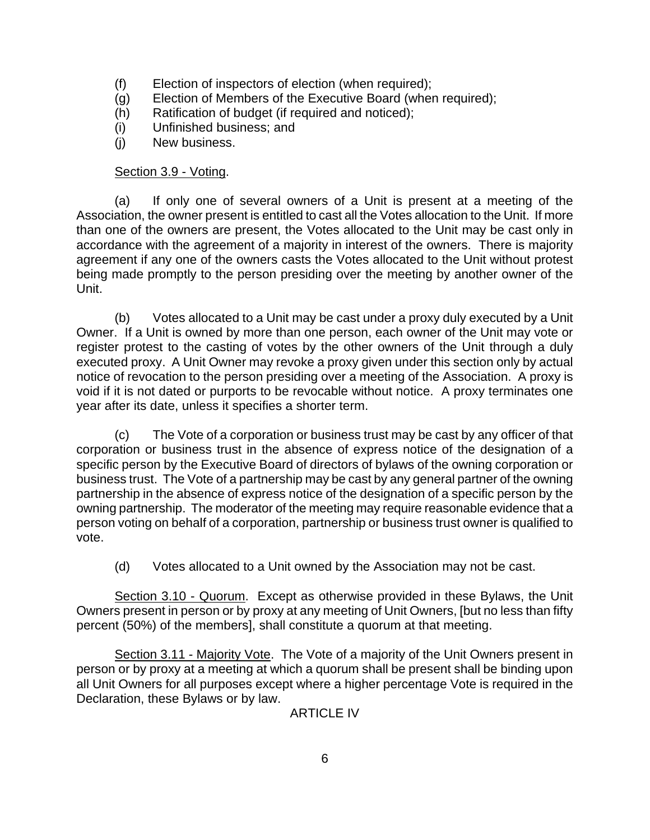- (f) Election of inspectors of election (when required);
- (g) Election of Members of the Executive Board (when required);
- (h) Ratification of budget (if required and noticed);
- (i) Unfinished business; and
- (j) New business.

## Section 3.9 - Voting.

(a) If only one of several owners of a Unit is present at a meeting of the Association, the owner present is entitled to cast all the Votes allocation to the Unit. If more than one of the owners are present, the Votes allocated to the Unit may be cast only in accordance with the agreement of a majority in interest of the owners. There is majority agreement if any one of the owners casts the Votes allocated to the Unit without protest being made promptly to the person presiding over the meeting by another owner of the Unit.

(b) Votes allocated to a Unit may be cast under a proxy duly executed by a Unit Owner. If a Unit is owned by more than one person, each owner of the Unit may vote or register protest to the casting of votes by the other owners of the Unit through a duly executed proxy. A Unit Owner may revoke a proxy given under this section only by actual notice of revocation to the person presiding over a meeting of the Association. A proxy is void if it is not dated or purports to be revocable without notice. A proxy terminates one year after its date, unless it specifies a shorter term.

(c) The Vote of a corporation or business trust may be cast by any officer of that corporation or business trust in the absence of express notice of the designation of a specific person by the Executive Board of directors of bylaws of the owning corporation or business trust. The Vote of a partnership may be cast by any general partner of the owning partnership in the absence of express notice of the designation of a specific person by the owning partnership. The moderator of the meeting may require reasonable evidence that a person voting on behalf of a corporation, partnership or business trust owner is qualified to vote.

(d) Votes allocated to a Unit owned by the Association may not be cast.

Section 3.10 - Quorum. Except as otherwise provided in these Bylaws, the Unit Owners present in person or by proxy at any meeting of Unit Owners, [but no less than fifty percent (50%) of the members], shall constitute a quorum at that meeting.

Section 3.11 - Majority Vote. The Vote of a majority of the Unit Owners present in person or by proxy at a meeting at which a quorum shall be present shall be binding upon all Unit Owners for all purposes except where a higher percentage Vote is required in the Declaration, these Bylaws or by law.

ARTICLE IV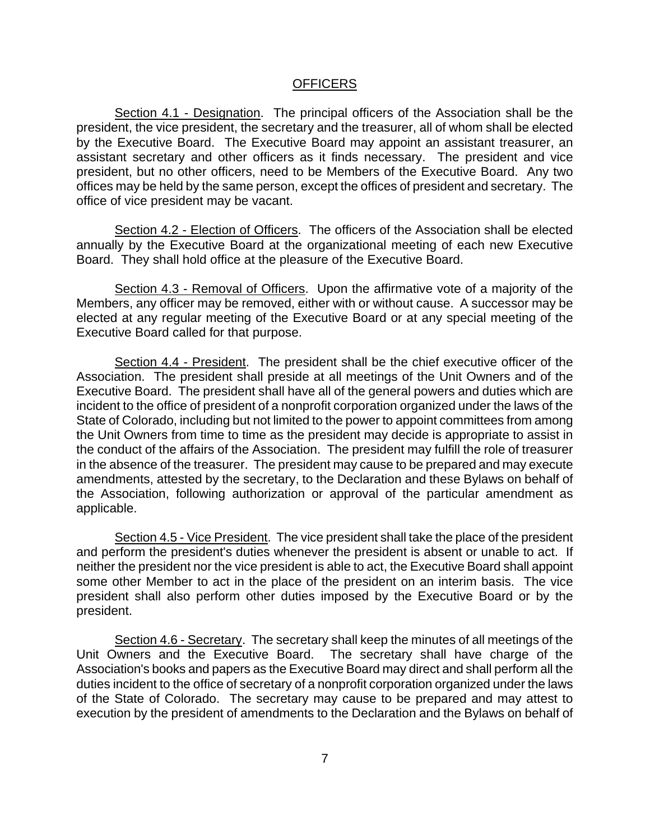### **OFFICERS**

Section 4.1 - Designation. The principal officers of the Association shall be the president, the vice president, the secretary and the treasurer, all of whom shall be elected by the Executive Board. The Executive Board may appoint an assistant treasurer, an assistant secretary and other officers as it finds necessary. The president and vice president, but no other officers, need to be Members of the Executive Board. Any two offices may be held by the same person, except the offices of president and secretary. The office of vice president may be vacant.

Section 4.2 - Election of Officers. The officers of the Association shall be elected annually by the Executive Board at the organizational meeting of each new Executive Board. They shall hold office at the pleasure of the Executive Board.

Section 4.3 - Removal of Officers. Upon the affirmative vote of a majority of the Members, any officer may be removed, either with or without cause. A successor may be elected at any regular meeting of the Executive Board or at any special meeting of the Executive Board called for that purpose.

Section 4.4 - President. The president shall be the chief executive officer of the Association. The president shall preside at all meetings of the Unit Owners and of the Executive Board. The president shall have all of the general powers and duties which are incident to the office of president of a nonprofit corporation organized under the laws of the State of Colorado, including but not limited to the power to appoint committees from among the Unit Owners from time to time as the president may decide is appropriate to assist in the conduct of the affairs of the Association. The president may fulfill the role of treasurer in the absence of the treasurer. The president may cause to be prepared and may execute amendments, attested by the secretary, to the Declaration and these Bylaws on behalf of the Association, following authorization or approval of the particular amendment as applicable.

Section 4.5 - Vice President. The vice president shall take the place of the president and perform the president's duties whenever the president is absent or unable to act. If neither the president nor the vice president is able to act, the Executive Board shall appoint some other Member to act in the place of the president on an interim basis. The vice president shall also perform other duties imposed by the Executive Board or by the president.

Section 4.6 - Secretary. The secretary shall keep the minutes of all meetings of the Unit Owners and the Executive Board. The secretary shall have charge of the Association's books and papers as the Executive Board may direct and shall perform all the duties incident to the office of secretary of a nonprofit corporation organized under the laws of the State of Colorado. The secretary may cause to be prepared and may attest to execution by the president of amendments to the Declaration and the Bylaws on behalf of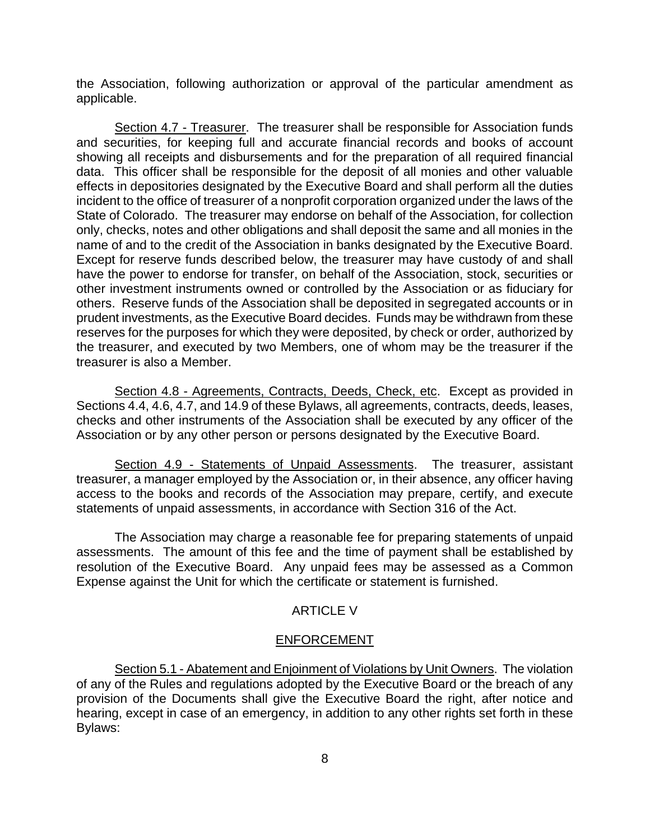the Association, following authorization or approval of the particular amendment as applicable.

Section 4.7 - Treasurer. The treasurer shall be responsible for Association funds and securities, for keeping full and accurate financial records and books of account showing all receipts and disbursements and for the preparation of all required financial data. This officer shall be responsible for the deposit of all monies and other valuable effects in depositories designated by the Executive Board and shall perform all the duties incident to the office of treasurer of a nonprofit corporation organized under the laws of the State of Colorado. The treasurer may endorse on behalf of the Association, for collection only, checks, notes and other obligations and shall deposit the same and all monies in the name of and to the credit of the Association in banks designated by the Executive Board. Except for reserve funds described below, the treasurer may have custody of and shall have the power to endorse for transfer, on behalf of the Association, stock, securities or other investment instruments owned or controlled by the Association or as fiduciary for others. Reserve funds of the Association shall be deposited in segregated accounts or in prudent investments, as the Executive Board decides. Funds may be withdrawn from these reserves for the purposes for which they were deposited, by check or order, authorized by the treasurer, and executed by two Members, one of whom may be the treasurer if the treasurer is also a Member.

Section 4.8 - Agreements, Contracts, Deeds, Check, etc. Except as provided in Sections 4.4, 4.6, 4.7, and 14.9 of these Bylaws, all agreements, contracts, deeds, leases, checks and other instruments of the Association shall be executed by any officer of the Association or by any other person or persons designated by the Executive Board.

Section 4.9 - Statements of Unpaid Assessments. The treasurer, assistant treasurer, a manager employed by the Association or, in their absence, any officer having access to the books and records of the Association may prepare, certify, and execute statements of unpaid assessments, in accordance with Section 316 of the Act.

The Association may charge a reasonable fee for preparing statements of unpaid assessments. The amount of this fee and the time of payment shall be established by resolution of the Executive Board. Any unpaid fees may be assessed as a Common Expense against the Unit for which the certificate or statement is furnished.

### **ARTICLE V**

#### ENFORCEMENT

Section 5.1 - Abatement and Enjoinment of Violations by Unit Owners. The violation of any of the Rules and regulations adopted by the Executive Board or the breach of any provision of the Documents shall give the Executive Board the right, after notice and hearing, except in case of an emergency, in addition to any other rights set forth in these Bylaws: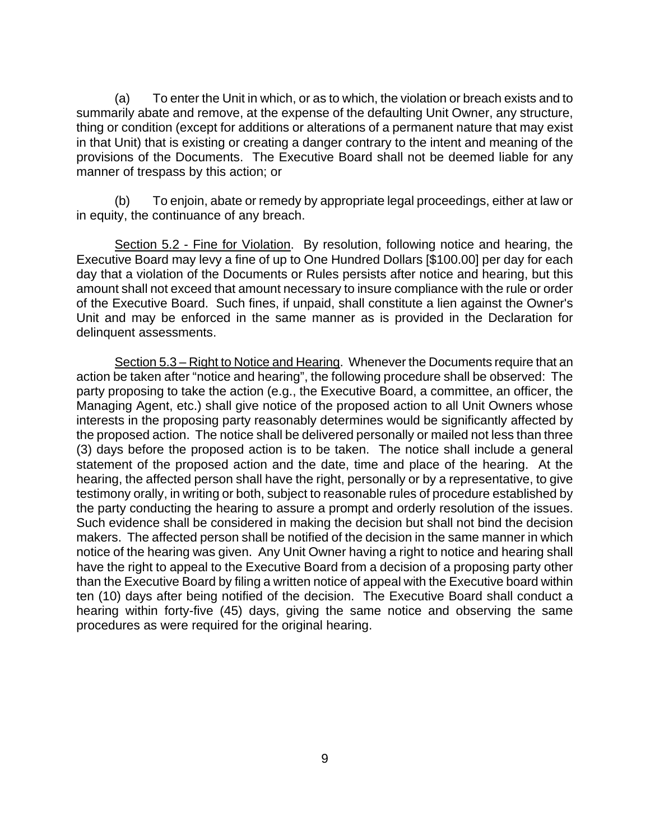(a) To enter the Unit in which, or as to which, the violation or breach exists and to summarily abate and remove, at the expense of the defaulting Unit Owner, any structure, thing or condition (except for additions or alterations of a permanent nature that may exist in that Unit) that is existing or creating a danger contrary to the intent and meaning of the provisions of the Documents. The Executive Board shall not be deemed liable for any manner of trespass by this action; or

(b) To enjoin, abate or remedy by appropriate legal proceedings, either at law or in equity, the continuance of any breach.

Section 5.2 - Fine for Violation. By resolution, following notice and hearing, the Executive Board may levy a fine of up to One Hundred Dollars [\$100.00] per day for each day that a violation of the Documents or Rules persists after notice and hearing, but this amount shall not exceed that amount necessary to insure compliance with the rule or order of the Executive Board. Such fines, if unpaid, shall constitute a lien against the Owner's Unit and may be enforced in the same manner as is provided in the Declaration for delinquent assessments.

 Section 5.3 – Right to Notice and Hearing. Whenever the Documents require that an action be taken after "notice and hearing", the following procedure shall be observed: The party proposing to take the action (e.g., the Executive Board, a committee, an officer, the Managing Agent, etc.) shall give notice of the proposed action to all Unit Owners whose interests in the proposing party reasonably determines would be significantly affected by the proposed action. The notice shall be delivered personally or mailed not less than three (3) days before the proposed action is to be taken. The notice shall include a general statement of the proposed action and the date, time and place of the hearing. At the hearing, the affected person shall have the right, personally or by a representative, to give testimony orally, in writing or both, subject to reasonable rules of procedure established by the party conducting the hearing to assure a prompt and orderly resolution of the issues. Such evidence shall be considered in making the decision but shall not bind the decision makers. The affected person shall be notified of the decision in the same manner in which notice of the hearing was given. Any Unit Owner having a right to notice and hearing shall have the right to appeal to the Executive Board from a decision of a proposing party other than the Executive Board by filing a written notice of appeal with the Executive board within ten (10) days after being notified of the decision. The Executive Board shall conduct a hearing within forty-five (45) days, giving the same notice and observing the same procedures as were required for the original hearing.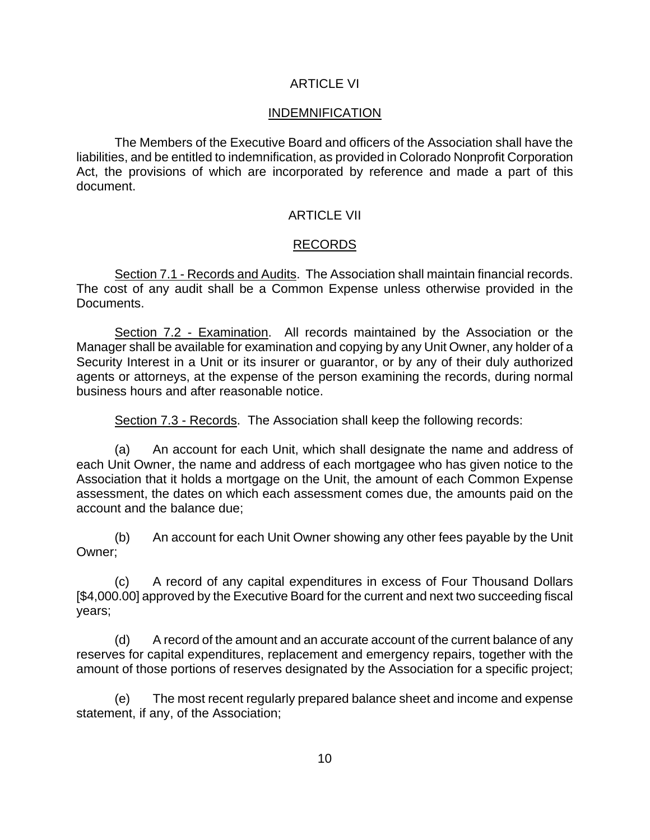## ARTICLE VI

## INDEMNIFICATION

The Members of the Executive Board and officers of the Association shall have the liabilities, and be entitled to indemnification, as provided in Colorado Nonprofit Corporation Act, the provisions of which are incorporated by reference and made a part of this document.

## ARTICLE VII

## RECORDS

Section 7.1 - Records and Audits. The Association shall maintain financial records. The cost of any audit shall be a Common Expense unless otherwise provided in the Documents.

Section 7.2 - Examination. All records maintained by the Association or the Manager shall be available for examination and copying by any Unit Owner, any holder of a Security Interest in a Unit or its insurer or guarantor, or by any of their duly authorized agents or attorneys, at the expense of the person examining the records, during normal business hours and after reasonable notice.

Section 7.3 - Records. The Association shall keep the following records:

(a) An account for each Unit, which shall designate the name and address of each Unit Owner, the name and address of each mortgagee who has given notice to the Association that it holds a mortgage on the Unit, the amount of each Common Expense assessment, the dates on which each assessment comes due, the amounts paid on the account and the balance due;

(b) An account for each Unit Owner showing any other fees payable by the Unit Owner;

(c) A record of any capital expenditures in excess of Four Thousand Dollars [\$4,000.00] approved by the Executive Board for the current and next two succeeding fiscal years;

(d) A record of the amount and an accurate account of the current balance of any reserves for capital expenditures, replacement and emergency repairs, together with the amount of those portions of reserves designated by the Association for a specific project;

(e) The most recent regularly prepared balance sheet and income and expense statement, if any, of the Association;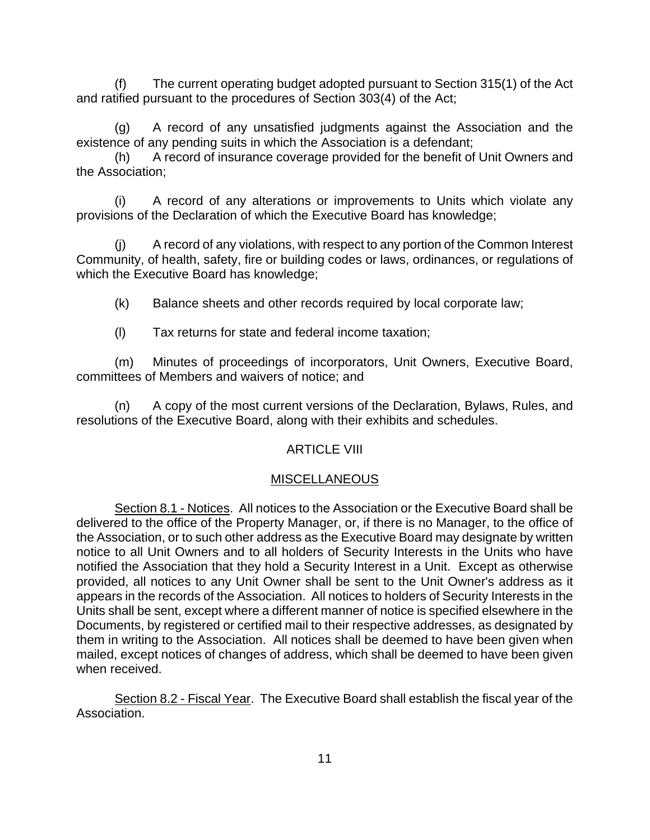(f) The current operating budget adopted pursuant to Section 315(1) of the Act and ratified pursuant to the procedures of Section 303(4) of the Act;

(g) A record of any unsatisfied judgments against the Association and the existence of any pending suits in which the Association is a defendant;

(h) A record of insurance coverage provided for the benefit of Unit Owners and the Association;

(i) A record of any alterations or improvements to Units which violate any provisions of the Declaration of which the Executive Board has knowledge;

(j) A record of any violations, with respect to any portion of the Common Interest Community, of health, safety, fire or building codes or laws, ordinances, or regulations of which the Executive Board has knowledge;

(k) Balance sheets and other records required by local corporate law;

(l) Tax returns for state and federal income taxation;

(m) Minutes of proceedings of incorporators, Unit Owners, Executive Board, committees of Members and waivers of notice; and

(n) A copy of the most current versions of the Declaration, Bylaws, Rules, and resolutions of the Executive Board, along with their exhibits and schedules.

# ARTICLE VIII

# MISCELLANEOUS

Section 8.1 - Notices. All notices to the Association or the Executive Board shall be delivered to the office of the Property Manager, or, if there is no Manager, to the office of the Association, or to such other address as the Executive Board may designate by written notice to all Unit Owners and to all holders of Security Interests in the Units who have notified the Association that they hold a Security Interest in a Unit. Except as otherwise provided, all notices to any Unit Owner shall be sent to the Unit Owner's address as it appears in the records of the Association. All notices to holders of Security Interests in the Units shall be sent, except where a different manner of notice is specified elsewhere in the Documents, by registered or certified mail to their respective addresses, as designated by them in writing to the Association. All notices shall be deemed to have been given when mailed, except notices of changes of address, which shall be deemed to have been given when received.

Section 8.2 - Fiscal Year. The Executive Board shall establish the fiscal year of the Association.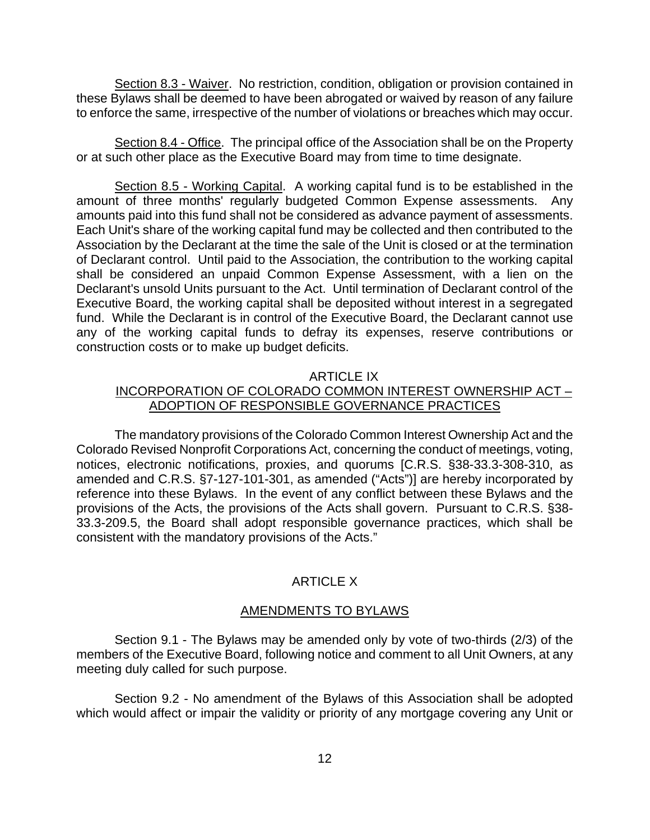Section 8.3 - Waiver. No restriction, condition, obligation or provision contained in these Bylaws shall be deemed to have been abrogated or waived by reason of any failure to enforce the same, irrespective of the number of violations or breaches which may occur.

Section 8.4 - Office. The principal office of the Association shall be on the Property or at such other place as the Executive Board may from time to time designate.

Section 8.5 - Working Capital. A working capital fund is to be established in the amount of three months' regularly budgeted Common Expense assessments. Any amounts paid into this fund shall not be considered as advance payment of assessments. Each Unit's share of the working capital fund may be collected and then contributed to the Association by the Declarant at the time the sale of the Unit is closed or at the termination of Declarant control. Until paid to the Association, the contribution to the working capital shall be considered an unpaid Common Expense Assessment, with a lien on the Declarant's unsold Units pursuant to the Act. Until termination of Declarant control of the Executive Board, the working capital shall be deposited without interest in a segregated fund. While the Declarant is in control of the Executive Board, the Declarant cannot use any of the working capital funds to defray its expenses, reserve contributions or construction costs or to make up budget deficits.

#### ARTICLE IX

## INCORPORATION OF COLORADO COMMON INTEREST OWNERSHIP ACT – ADOPTION OF RESPONSIBLE GOVERNANCE PRACTICES

The mandatory provisions of the Colorado Common Interest Ownership Act and the Colorado Revised Nonprofit Corporations Act, concerning the conduct of meetings, voting, notices, electronic notifications, proxies, and quorums [C.R.S. §38-33.3-308-310, as amended and C.R.S. §7-127-101-301, as amended ("Acts")] are hereby incorporated by reference into these Bylaws. In the event of any conflict between these Bylaws and the provisions of the Acts, the provisions of the Acts shall govern. Pursuant to C.R.S. §38- 33.3-209.5, the Board shall adopt responsible governance practices, which shall be consistent with the mandatory provisions of the Acts."

## ARTICLE X

#### AMENDMENTS TO BYLAWS

Section 9.1 - The Bylaws may be amended only by vote of two-thirds (2/3) of the members of the Executive Board, following notice and comment to all Unit Owners, at any meeting duly called for such purpose.

Section 9.2 - No amendment of the Bylaws of this Association shall be adopted which would affect or impair the validity or priority of any mortgage covering any Unit or